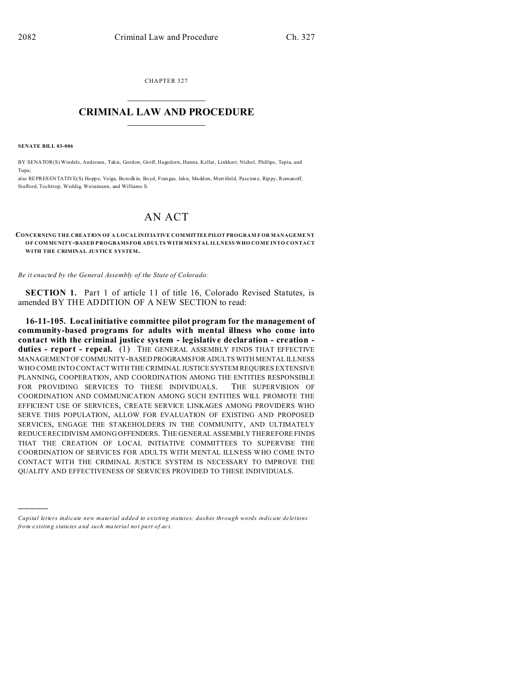CHAPTER 327  $\overline{\phantom{a}}$  , where  $\overline{\phantom{a}}$ 

# **CRIMINAL LAW AND PROCEDURE**  $\_$   $\_$   $\_$   $\_$   $\_$   $\_$   $\_$   $\_$   $\_$

**SENATE BILL 03-006**

)))))

BY SENATOR(S) Windels, Anderson, Takis, Gordon, Groff, Hagedorn, Hanna, Keller, Linkhart, Nichol, Phillips, Tapia, and Tupa;

also REPRESENTATIVE(S) Hoppe, Veiga, Borodkin, Boyd, Fran gas, Jahn, Madden, Merrifield, Paccione, Rippy, Romanoff, Stafford, Tochtrop, Weddig, Weissmann, and Williams S.

# AN ACT

#### **CONCERNING THE CREATION OF A LOCAL INITIATIVE COMMITTEE PILOT PROGRAM F OR MANAGEME NT OF COMMUNITY-BASED P ROGRAMS FOR ADULTS WITH MENTAL ILLNESS WHO CO ME INTO CONTACT WITH THE CRIMINAL JUSTICE SYSTEM.**

*Be it enacted by the General Assembly of the State of Colorado:*

**SECTION 1.** Part 1 of article 11 of title 16, Colorado Revised Statutes, is amended BY THE ADDITION OF A NEW SECTION to read:

**16-11-105. Local initiative committee pilot program for the management of community-based programs for adults with mental illness who come into contact with the criminal justice system - legislative declaration - creation duties - report - repeal.** (1) THE GENERAL ASSEMBLY FINDS THAT EFFECTIVE MANAGEMENT OF COMMUNITY-BASED PROGRAMSFOR ADULTS WITH MENTAL ILLNESS WHO COME INTO CONTACT WITH THE CRIMINAL JUSTICE SYSTEM REQUIRES EXTENSIVE PLANNING, COOPERATION, AND COORDINATION AMONG THE ENTITIES RESPONSIBLE FOR PROVIDING SERVICES TO THESE INDIVIDUALS. THE SUPERVISION OF COORDINATION AND COMMUNICATION AMONG SUCH ENTITIES WILL PROMOTE THE EFFICIENT USE OF SERVICES, CREATE SERVICE LINKAGES AMONG PROVIDERS WHO SERVE THIS POPULATION, ALLOW FOR EVALUATION OF EXISTING AND PROPOSED SERVICES, ENGAGE THE STAKEHOLDERS IN THE COMMUNITY, AND ULTIMATELY REDUCE RECIDIVISM AMONG OFFENDERS. THE GENERAL ASSEMBLY THEREFORE FINDS THAT THE CREATION OF LOCAL INITIATIVE COMMITTEES TO SUPERVISE THE COORDINATION OF SERVICES FOR ADULTS WITH MENTAL ILLNESS WHO COME INTO CONTACT WITH THE CRIMINAL JUSTICE SYSTEM IS NECESSARY TO IMPROVE THE QUALITY AND EFFECTIVENESS OF SERVICES PROVIDED TO THESE INDIVIDUALS.

*Capital letters indicate new material added to existing statutes; dashes through words indicate deletions from e xistin g statu tes a nd such ma teria l no t pa rt of ac t.*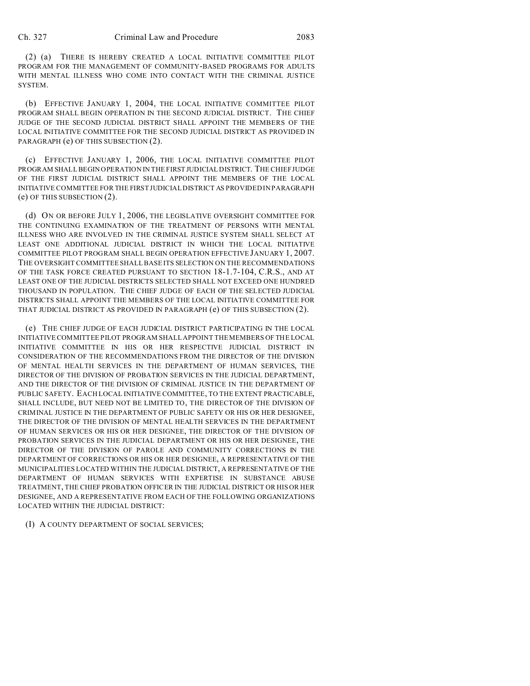(2) (a) THERE IS HEREBY CREATED A LOCAL INITIATIVE COMMITTEE PILOT PROGRAM FOR THE MANAGEMENT OF COMMUNITY-BASED PROGRAMS FOR ADULTS WITH MENTAL ILLNESS WHO COME INTO CONTACT WITH THE CRIMINAL JUSTICE SYSTEM.

(b) EFFECTIVE JANUARY 1, 2004, THE LOCAL INITIATIVE COMMITTEE PILOT PROGRAM SHALL BEGIN OPERATION IN THE SECOND JUDICIAL DISTRICT. THE CHIEF JUDGE OF THE SECOND JUDICIAL DISTRICT SHALL APPOINT THE MEMBERS OF THE LOCAL INITIATIVE COMMITTEE FOR THE SECOND JUDICIAL DISTRICT AS PROVIDED IN PARAGRAPH (e) OF THIS SUBSECTION (2).

(c) EFFECTIVE JANUARY 1, 2006, THE LOCAL INITIATIVE COMMITTEE PILOT PROGRAM SHALL BEGIN OPERATION IN THE FIRST JUDICIAL DISTRICT. THE CHIEF JUDGE OF THE FIRST JUDICIAL DISTRICT SHALL APPOINT THE MEMBERS OF THE LOCAL INITIATIVE COMMITTEE FOR THE FIRST JUDICIAL DISTRICT AS PROVIDED IN PARAGRAPH (e) OF THIS SUBSECTION (2).

(d) ON OR BEFORE JULY 1, 2006, THE LEGISLATIVE OVERSIGHT COMMITTEE FOR THE CONTINUING EXAMINATION OF THE TREATMENT OF PERSONS WITH MENTAL ILLNESS WHO ARE INVOLVED IN THE CRIMINAL JUSTICE SYSTEM SHALL SELECT AT LEAST ONE ADDITIONAL JUDICIAL DISTRICT IN WHICH THE LOCAL INITIATIVE COMMITTEE PILOT PROGRAM SHALL BEGIN OPERATION EFFECTIVE JANUARY 1, 2007. THE OVERSIGHT COMMITTEE SHALL BASE ITS SELECTION ON THE RECOMMENDATIONS OF THE TASK FORCE CREATED PURSUANT TO SECTION 18-1.7-104, C.R.S., AND AT LEAST ONE OF THE JUDICIAL DISTRICTS SELECTED SHALL NOT EXCEED ONE HUNDRED THOUSAND IN POPULATION. THE CHIEF JUDGE OF EACH OF THE SELECTED JUDICIAL DISTRICTS SHALL APPOINT THE MEMBERS OF THE LOCAL INITIATIVE COMMITTEE FOR THAT JUDICIAL DISTRICT AS PROVIDED IN PARAGRAPH (e) OF THIS SUBSECTION (2).

(e) THE CHIEF JUDGE OF EACH JUDICIAL DISTRICT PARTICIPATING IN THE LOCAL INITIATIVE COMMITTEE PILOT PROGRAM SHALL APPOINT THE MEMBERS OF THE LOCAL INITIATIVE COMMITTEE IN HIS OR HER RESPECTIVE JUDICIAL DISTRICT IN CONSIDERATION OF THE RECOMMENDATIONS FROM THE DIRECTOR OF THE DIVISION OF MENTAL HEALTH SERVICES IN THE DEPARTMENT OF HUMAN SERVICES, THE DIRECTOR OF THE DIVISION OF PROBATION SERVICES IN THE JUDICIAL DEPARTMENT, AND THE DIRECTOR OF THE DIVISION OF CRIMINAL JUSTICE IN THE DEPARTMENT OF PUBLIC SAFETY. EACH LOCAL INITIATIVE COMMITTEE, TO THE EXTENT PRACTICABLE, SHALL INCLUDE, BUT NEED NOT BE LIMITED TO, THE DIRECTOR OF THE DIVISION OF CRIMINAL JUSTICE IN THE DEPARTMENT OF PUBLIC SAFETY OR HIS OR HER DESIGNEE, THE DIRECTOR OF THE DIVISION OF MENTAL HEALTH SERVICES IN THE DEPARTMENT OF HUMAN SERVICES OR HIS OR HER DESIGNEE, THE DIRECTOR OF THE DIVISION OF PROBATION SERVICES IN THE JUDICIAL DEPARTMENT OR HIS OR HER DESIGNEE, THE DIRECTOR OF THE DIVISION OF PAROLE AND COMMUNITY CORRECTIONS IN THE DEPARTMENT OF CORRECTIONS OR HIS OR HER DESIGNEE, A REPRESENTATIVE OF THE MUNICIPALITIES LOCATED WITHIN THE JUDICIAL DISTRICT, A REPRESENTATIVE OF THE DEPARTMENT OF HUMAN SERVICES WITH EXPERTISE IN SUBSTANCE ABUSE TREATMENT, THE CHIEF PROBATION OFFICER IN THE JUDICIAL DISTRICT OR HIS OR HER DESIGNEE, AND A REPRESENTATIVE FROM EACH OF THE FOLLOWING ORGANIZATIONS LOCATED WITHIN THE JUDICIAL DISTRICT:

(I) A COUNTY DEPARTMENT OF SOCIAL SERVICES;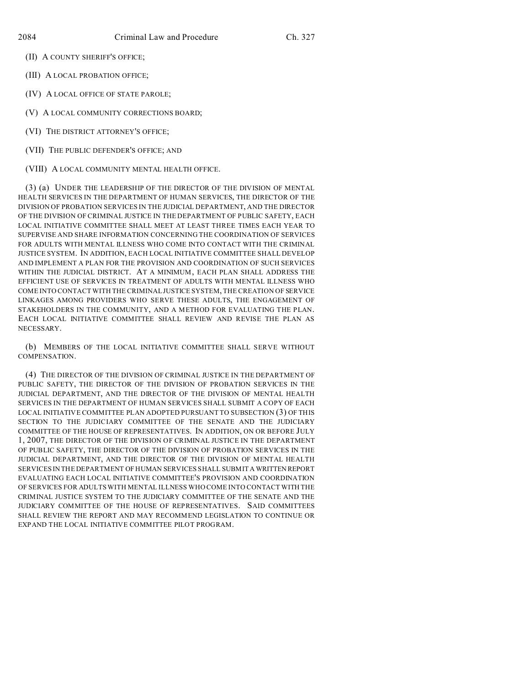(II) A COUNTY SHERIFF'S OFFICE;

(III) A LOCAL PROBATION OFFICE;

(IV) A LOCAL OFFICE OF STATE PAROLE;

(V) A LOCAL COMMUNITY CORRECTIONS BOARD;

(VI) THE DISTRICT ATTORNEY'S OFFICE;

(VII) THE PUBLIC DEFENDER'S OFFICE; AND

(VIII) A LOCAL COMMUNITY MENTAL HEALTH OFFICE.

(3) (a) UNDER THE LEADERSHIP OF THE DIRECTOR OF THE DIVISION OF MENTAL HEALTH SERVICES IN THE DEPARTMENT OF HUMAN SERVICES, THE DIRECTOR OF THE DIVISION OF PROBATION SERVICES IN THE JUDICIAL DEPARTMENT, AND THE DIRECTOR OF THE DIVISION OF CRIMINAL JUSTICE IN THE DEPARTMENT OF PUBLIC SAFETY, EACH LOCAL INITIATIVE COMMITTEE SHALL MEET AT LEAST THREE TIMES EACH YEAR TO SUPERVISE AND SHARE INFORMATION CONCERNING THE COORDINATION OF SERVICES FOR ADULTS WITH MENTAL ILLNESS WHO COME INTO CONTACT WITH THE CRIMINAL JUSTICE SYSTEM. IN ADDITION, EACH LOCAL INITIATIVE COMMITTEE SHALL DEVELOP AND IMPLEMENT A PLAN FOR THE PROVISION AND COORDINATION OF SUCH SERVICES WITHIN THE JUDICIAL DISTRICT. AT A MINIMUM, EACH PLAN SHALL ADDRESS THE EFFICIENT USE OF SERVICES IN TREATMENT OF ADULTS WITH MENTAL ILLNESS WHO COME INTO CONTACT WITH THE CRIMINAL JUSTICE SYSTEM, THE CREATION OF SERVICE LINKAGES AMONG PROVIDERS WHO SERVE THESE ADULTS, THE ENGAGEMENT OF STAKEHOLDERS IN THE COMMUNITY, AND A METHOD FOR EVALUATING THE PLAN. EACH LOCAL INITIATIVE COMMITTEE SHALL REVIEW AND REVISE THE PLAN AS NECESSARY.

(b) MEMBERS OF THE LOCAL INITIATIVE COMMITTEE SHALL SERVE WITHOUT COMPENSATION.

(4) THE DIRECTOR OF THE DIVISION OF CRIMINAL JUSTICE IN THE DEPARTMENT OF PUBLIC SAFETY, THE DIRECTOR OF THE DIVISION OF PROBATION SERVICES IN THE JUDICIAL DEPARTMENT, AND THE DIRECTOR OF THE DIVISION OF MENTAL HEALTH SERVICES IN THE DEPARTMENT OF HUMAN SERVICES SHALL SUBMIT A COPY OF EACH LOCAL INITIATIVE COMMITTEE PLAN ADOPTED PURSUANT TO SUBSECTION (3) OF THIS SECTION TO THE JUDICIARY COMMITTEE OF THE SENATE AND THE JUDICIARY COMMITTEE OF THE HOUSE OF REPRESENTATIVES. IN ADDITION, ON OR BEFORE JULY 1, 2007, THE DIRECTOR OF THE DIVISION OF CRIMINAL JUSTICE IN THE DEPARTMENT OF PUBLIC SAFETY, THE DIRECTOR OF THE DIVISION OF PROBATION SERVICES IN THE JUDICIAL DEPARTMENT, AND THE DIRECTOR OF THE DIVISION OF MENTAL HEALTH SERVICES IN THE DEPARTMENT OF HUMAN SERVICES SHALL SUBMIT A WRITTEN REPORT EVALUATING EACH LOCAL INITIATIVE COMMITTEE'S PROVISION AND COORDINATION OF SERVICES FOR ADULTS WITH MENTAL ILLNESS WHO COME INTO CONTACT WITH THE CRIMINAL JUSTICE SYSTEM TO THE JUDICIARY COMMITTEE OF THE SENATE AND THE JUDICIARY COMMITTEE OF THE HOUSE OF REPRESENTATIVES. SAID COMMITTEES SHALL REVIEW THE REPORT AND MAY RECOMMEND LEGISLATION TO CONTINUE OR EXPAND THE LOCAL INITIATIVE COMMITTEE PILOT PROGRAM.